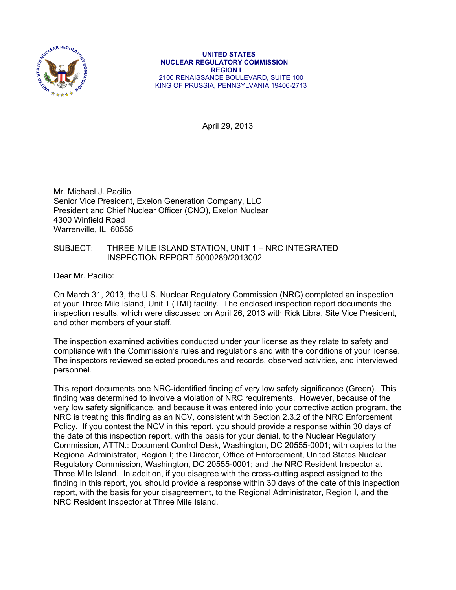

 **UNITED STATES NUCLEAR REGULATORY COMMISSION REGION I**  2100 RENAISSANCE BOULEVARD, SUITE 100 KING OF PRUSSIA, PENNSYLVANIA 19406-2713

April 29, 2013

Mr. Michael J. Pacilio Senior Vice President, Exelon Generation Company, LLC President and Chief Nuclear Officer (CNO), Exelon Nuclear 4300 Winfield Road Warrenville, IL 60555

## SUBJECT: THREE MILE ISLAND STATION, UNIT 1 – NRC INTEGRATED INSPECTION REPORT 5000289/2013002

Dear Mr. Pacilio:

On March 31, 2013, the U.S. Nuclear Regulatory Commission (NRC) completed an inspection at your Three Mile Island, Unit 1 (TMI) facility. The enclosed inspection report documents the inspection results, which were discussed on April 26, 2013 with Rick Libra, Site Vice President, and other members of your staff.

The inspection examined activities conducted under your license as they relate to safety and compliance with the Commission's rules and regulations and with the conditions of your license. The inspectors reviewed selected procedures and records, observed activities, and interviewed personnel.

This report documents one NRC-identified finding of very low safety significance (Green). This finding was determined to involve a violation of NRC requirements. However, because of the very low safety significance, and because it was entered into your corrective action program, the NRC is treating this finding as an NCV, consistent with Section 2.3.2 of the NRC Enforcement Policy. If you contest the NCV in this report, you should provide a response within 30 days of the date of this inspection report, with the basis for your denial, to the Nuclear Regulatory Commission, ATTN.: Document Control Desk, Washington, DC 20555-0001; with copies to the Regional Administrator, Region I; the Director, Office of Enforcement, United States Nuclear Regulatory Commission, Washington, DC 20555-0001; and the NRC Resident Inspector at Three Mile Island. In addition, if you disagree with the cross-cutting aspect assigned to the finding in this report, you should provide a response within 30 days of the date of this inspection report, with the basis for your disagreement, to the Regional Administrator, Region I, and the NRC Resident Inspector at Three Mile Island.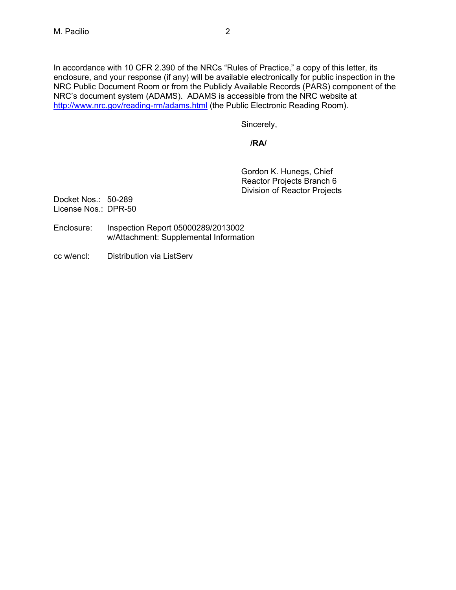In accordance with 10 CFR 2.390 of the NRCs "Rules of Practice," a copy of this letter, its enclosure, and your response (if any) will be available electronically for public inspection in the NRC Public Document Room or from the Publicly Available Records (PARS) component of the NRC's document system (ADAMS). ADAMS is accessible from the NRC website at http://www.nrc.gov/reading-rm/adams.html (the Public Electronic Reading Room).

Sincerely,

 **/RA/** 

Gordon K. Hunegs, Chief Reactor Projects Branch 6 Division of Reactor Projects

Docket Nos.: 50-289 License Nos.: DPR-50

- Enclosure: Inspection Report 05000289/2013002 w/Attachment: Supplemental Information
- cc w/encl: Distribution via ListServ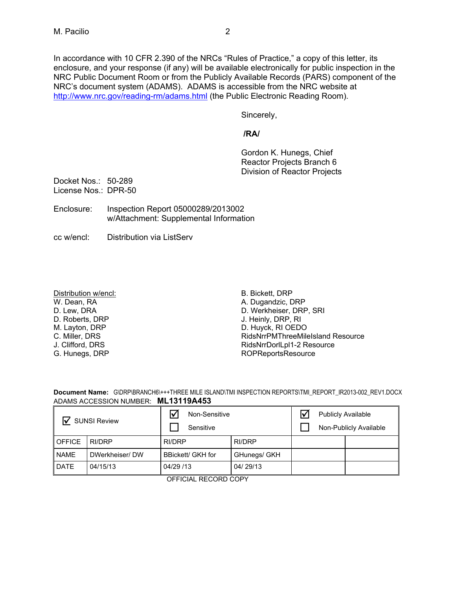In accordance with 10 CFR 2.390 of the NRCs "Rules of Practice," a copy of this letter, its enclosure, and your response (if any) will be available electronically for public inspection in the NRC Public Document Room or from the Publicly Available Records (PARS) component of the NRC's document system (ADAMS). ADAMS is accessible from the NRC website at http://www.nrc.gov/reading-rm/adams.html (the Public Electronic Reading Room).

Sincerely,

**/RA/** 

Gordon K. Hunegs, Chief Reactor Projects Branch 6 Division of Reactor Projects

Docket Nos.: 50-289 License Nos.: DPR-50

- Enclosure: Inspection Report 05000289/2013002 w/Attachment: Supplemental Information
- cc w/encl: Distribution via ListServ

Distribution w/encl: W. Dean, RA D. Lew, DRA D. Roberts, DRP M. Layton, DRP C. Miller, DRS J. Clifford, DRS G. Hunegs, DRP

B. Bickett, DRP A. Dugandzic, DRP D. Werkheiser, DRP, SRI J. Heinly, DRP, RI D. Huyck, RI OEDO RidsNrrPMThreeMileIsland Resource RidsNrrDorlLpl1-2 Resource ROPReportsResource

**Document Name:** G\DRP\BRANCH6\+++THREE MILE ISLAND\TMI INSPECTION REPORTS\TMI\_REPORT\_IR2013-002\_REV1.DOCX ADAMS ACCESSION NUMBER: **ML13119A453** 

| SUNSI Review  |                | Non-Sensitive     |              | ☑ | <b>Publicly Available</b> |                        |
|---------------|----------------|-------------------|--------------|---|---------------------------|------------------------|
|               |                | Sensitive         |              |   |                           | Non-Publicly Available |
| <b>OFFICE</b> | RI/DRP         | RI/DRP            | RI/DRP       |   |                           |                        |
| <b>NAME</b>   | DWerkheiser/DW | BBickett/ GKH for | GHunegs/ GKH |   |                           |                        |
| <b>DATE</b>   | 04/15/13       | 04/29 /13         | 04/29/13     |   |                           |                        |

| OFFICIAL RECORD COPY |  |
|----------------------|--|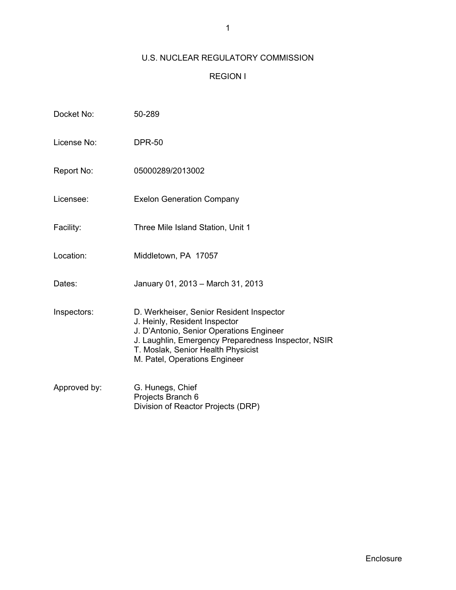# U.S. NUCLEAR REGULATORY COMMISSION

# REGION I

| Docket No:   | 50-289                                                                                                                                                                                                                                              |
|--------------|-----------------------------------------------------------------------------------------------------------------------------------------------------------------------------------------------------------------------------------------------------|
| License No:  | <b>DPR-50</b>                                                                                                                                                                                                                                       |
| Report No:   | 05000289/2013002                                                                                                                                                                                                                                    |
| Licensee:    | <b>Exelon Generation Company</b>                                                                                                                                                                                                                    |
| Facility:    | Three Mile Island Station, Unit 1                                                                                                                                                                                                                   |
| Location:    | Middletown, PA 17057                                                                                                                                                                                                                                |
| Dates:       | January 01, 2013 - March 31, 2013                                                                                                                                                                                                                   |
| Inspectors:  | D. Werkheiser, Senior Resident Inspector<br>J. Heinly, Resident Inspector<br>J. D'Antonio, Senior Operations Engineer<br>J. Laughlin, Emergency Preparedness Inspector, NSIR<br>T. Moslak, Senior Health Physicist<br>M. Patel, Operations Engineer |
| Approved by: | G. Hunegs, Chief<br>Projects Branch 6<br>Division of Reactor Projects (DRP)                                                                                                                                                                         |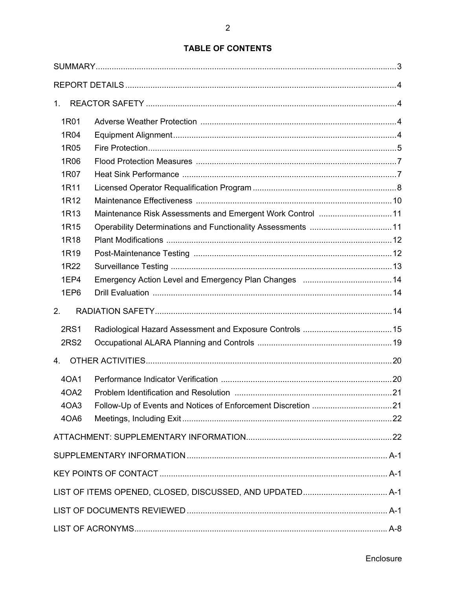| 1.               |                                                           |  |
|------------------|-----------------------------------------------------------|--|
| 1R01             |                                                           |  |
| 1R04             |                                                           |  |
| 1R05             |                                                           |  |
| 1R06             |                                                           |  |
| 1R07             |                                                           |  |
| 1R11             |                                                           |  |
| 1R12             |                                                           |  |
| 1R13             | Maintenance Risk Assessments and Emergent Work Control 11 |  |
| 1R <sub>15</sub> |                                                           |  |
| 1R <sub>18</sub> |                                                           |  |
| 1R <sub>19</sub> |                                                           |  |
| 1R22             |                                                           |  |
| 1EP4             |                                                           |  |
| 1EP6             |                                                           |  |
| 2.               |                                                           |  |
| <b>2RS1</b>      |                                                           |  |
| 2RS <sub>2</sub> |                                                           |  |
| $4_{-}$          |                                                           |  |
| 40A1             |                                                           |  |
| 4OA2             |                                                           |  |
| 4OA3             |                                                           |  |
| 4OA6             |                                                           |  |
|                  |                                                           |  |
|                  |                                                           |  |
|                  |                                                           |  |
|                  |                                                           |  |
|                  |                                                           |  |
|                  |                                                           |  |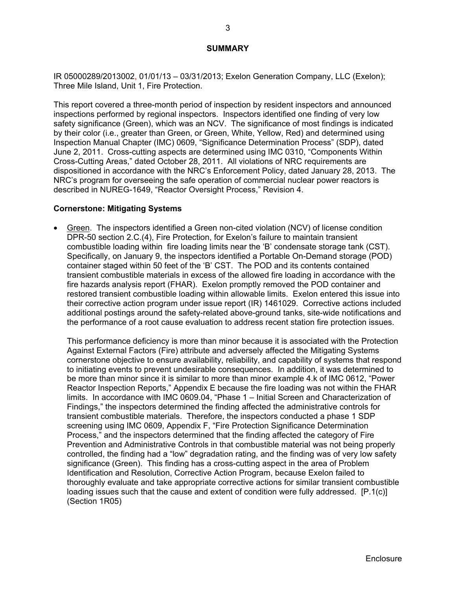#### **SUMMARY**

IR 05000289/2013002, 01/01/13 – 03/31/2013; Exelon Generation Company, LLC (Exelon); Three Mile Island, Unit 1, Fire Protection.

This report covered a three-month period of inspection by resident inspectors and announced inspections performed by regional inspectors. Inspectors identified one finding of very low safety significance (Green), which was an NCV. The significance of most findings is indicated by their color (i.e., greater than Green, or Green, White, Yellow, Red) and determined using Inspection Manual Chapter (IMC) 0609, "Significance Determination Process" (SDP), dated June 2, 2011. Cross-cutting aspects are determined using IMC 0310, "Components Within Cross-Cutting Areas," dated October 28, 2011. All violations of NRC requirements are dispositioned in accordance with the NRC's Enforcement Policy, dated January 28, 2013. The NRC's program for overseeing the safe operation of commercial nuclear power reactors is described in NUREG-1649, "Reactor Oversight Process," Revision 4.

#### **Cornerstone: Mitigating Systems**

 Green. The inspectors identified a Green non-cited violation (NCV) of license condition DPR-50 section 2.C.(4), Fire Protection, for Exelon's failure to maintain transient combustible loading within fire loading limits near the 'B' condensate storage tank (CST). Specifically, on January 9, the inspectors identified a Portable On-Demand storage (POD) container staged within 50 feet of the 'B' CST. The POD and its contents contained transient combustible materials in excess of the allowed fire loading in accordance with the fire hazards analysis report (FHAR). Exelon promptly removed the POD container and restored transient combustible loading within allowable limits. Exelon entered this issue into their corrective action program under issue report (IR) 1461029. Corrective actions included additional postings around the safety-related above-ground tanks, site-wide notifications and the performance of a root cause evaluation to address recent station fire protection issues.

This performance deficiency is more than minor because it is associated with the Protection Against External Factors (Fire) attribute and adversely affected the Mitigating Systems cornerstone objective to ensure availability, reliability, and capability of systems that respond to initiating events to prevent undesirable consequences. In addition, it was determined to be more than minor since it is similar to more than minor example 4.k of IMC 0612, "Power Reactor Inspection Reports," Appendix E because the fire loading was not within the FHAR limits. In accordance with IMC 0609.04, "Phase 1 – Initial Screen and Characterization of Findings," the inspectors determined the finding affected the administrative controls for transient combustible materials. Therefore, the inspectors conducted a phase 1 SDP screening using IMC 0609, Appendix F, "Fire Protection Significance Determination Process," and the inspectors determined that the finding affected the category of Fire Prevention and Administrative Controls in that combustible material was not being properly controlled, the finding had a "low" degradation rating, and the finding was of very low safety significance (Green). This finding has a cross-cutting aspect in the area of Problem Identification and Resolution, Corrective Action Program, because Exelon failed to thoroughly evaluate and take appropriate corrective actions for similar transient combustible loading issues such that the cause and extent of condition were fully addressed. [P.1(c)] (Section 1R05)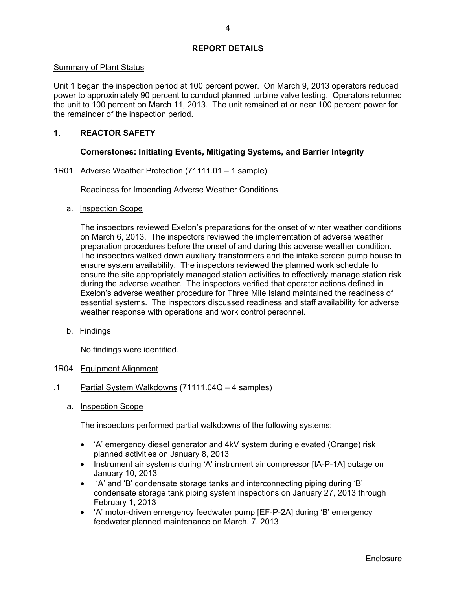# **REPORT DETAILS**

# Summary of Plant Status

Unit 1 began the inspection period at 100 percent power. On March 9, 2013 operators reduced power to approximately 90 percent to conduct planned turbine valve testing. Operators returned the unit to 100 percent on March 11, 2013. The unit remained at or near 100 percent power for the remainder of the inspection period.

# **1. REACTOR SAFETY**

# **Cornerstones: Initiating Events, Mitigating Systems, and Barrier Integrity**

# 1R01 Adverse Weather Protection (71111.01 – 1 sample)

# Readiness for Impending Adverse Weather Conditions

a. Inspection Scope

The inspectors reviewed Exelon's preparations for the onset of winter weather conditions on March 6, 2013. The inspectors reviewed the implementation of adverse weather preparation procedures before the onset of and during this adverse weather condition. The inspectors walked down auxiliary transformers and the intake screen pump house to ensure system availability. The inspectors reviewed the planned work schedule to ensure the site appropriately managed station activities to effectively manage station risk during the adverse weather. The inspectors verified that operator actions defined in Exelon's adverse weather procedure for Three Mile Island maintained the readiness of essential systems. The inspectors discussed readiness and staff availability for adverse weather response with operations and work control personnel.

b. Findings

No findings were identified.

### 1R04 Equipment Alignment

- .1 Partial System Walkdowns (71111.04Q 4 samples)
	- a. Inspection Scope

The inspectors performed partial walkdowns of the following systems:

- 'A' emergency diesel generator and 4kV system during elevated (Orange) risk planned activities on January 8, 2013
- Instrument air systems during 'A' instrument air compressor [IA-P-1A] outage on January 10, 2013
- 'A' and 'B' condensate storage tanks and interconnecting piping during 'B' condensate storage tank piping system inspections on January 27, 2013 through February 1, 2013
- 'A' motor-driven emergency feedwater pump [EF-P-2A] during 'B' emergency feedwater planned maintenance on March, 7, 2013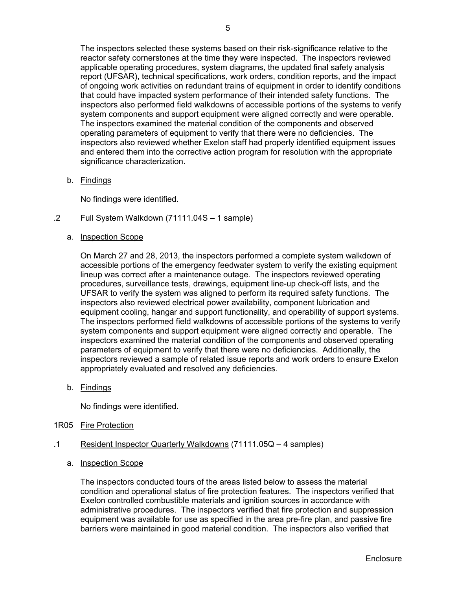The inspectors selected these systems based on their risk-significance relative to the reactor safety cornerstones at the time they were inspected. The inspectors reviewed applicable operating procedures, system diagrams, the updated final safety analysis report (UFSAR), technical specifications, work orders, condition reports, and the impact of ongoing work activities on redundant trains of equipment in order to identify conditions that could have impacted system performance of their intended safety functions. The inspectors also performed field walkdowns of accessible portions of the systems to verify system components and support equipment were aligned correctly and were operable. The inspectors examined the material condition of the components and observed operating parameters of equipment to verify that there were no deficiencies. The inspectors also reviewed whether Exelon staff had properly identified equipment issues and entered them into the corrective action program for resolution with the appropriate significance characterization.

b. Findings

No findings were identified.

- .2 Full System Walkdown (71111.04S 1 sample)
	- a. Inspection Scope

On March 27 and 28, 2013, the inspectors performed a complete system walkdown of accessible portions of the emergency feedwater system to verify the existing equipment lineup was correct after a maintenance outage. The inspectors reviewed operating procedures, surveillance tests, drawings, equipment line-up check-off lists, and the UFSAR to verify the system was aligned to perform its required safety functions. The inspectors also reviewed electrical power availability, component lubrication and equipment cooling, hangar and support functionality, and operability of support systems. The inspectors performed field walkdowns of accessible portions of the systems to verify system components and support equipment were aligned correctly and operable. The inspectors examined the material condition of the components and observed operating parameters of equipment to verify that there were no deficiencies. Additionally, the inspectors reviewed a sample of related issue reports and work orders to ensure Exelon appropriately evaluated and resolved any deficiencies.

b. Findings

No findings were identified.

- 1R05 Fire Protection
- .1 Resident Inspector Quarterly Walkdowns (71111.05Q 4 samples)
	- a. Inspection Scope

The inspectors conducted tours of the areas listed below to assess the material condition and operational status of fire protection features. The inspectors verified that Exelon controlled combustible materials and ignition sources in accordance with administrative procedures. The inspectors verified that fire protection and suppression equipment was available for use as specified in the area pre-fire plan, and passive fire barriers were maintained in good material condition. The inspectors also verified that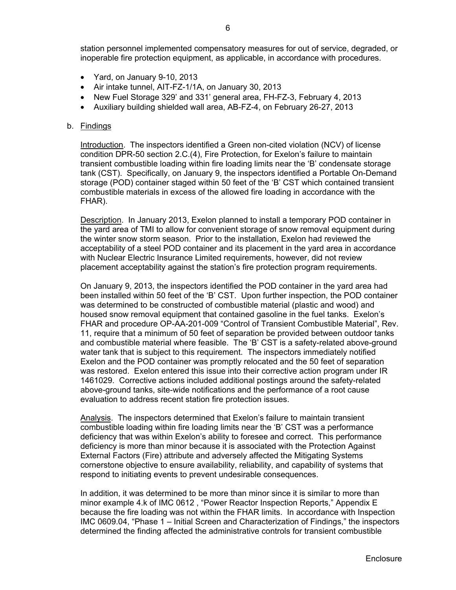station personnel implemented compensatory measures for out of service, degraded, or inoperable fire protection equipment, as applicable, in accordance with procedures.

- Yard, on January 9-10, 2013
- Air intake tunnel, AIT-FZ-1/1A, on January 30, 2013
- New Fuel Storage 329' and 331' general area, FH-FZ-3, February 4, 2013
- Auxiliary building shielded wall area, AB-FZ-4, on February 26-27, 2013

#### b. Findings

Introduction. The inspectors identified a Green non-cited violation (NCV) of license condition DPR-50 section 2.C.(4), Fire Protection, for Exelon's failure to maintain transient combustible loading within fire loading limits near the 'B' condensate storage tank (CST). Specifically, on January 9, the inspectors identified a Portable On-Demand storage (POD) container staged within 50 feet of the 'B' CST which contained transient combustible materials in excess of the allowed fire loading in accordance with the FHAR).

Description. In January 2013, Exelon planned to install a temporary POD container in the yard area of TMI to allow for convenient storage of snow removal equipment during the winter snow storm season. Prior to the installation, Exelon had reviewed the acceptability of a steel POD container and its placement in the yard area in accordance with Nuclear Electric Insurance Limited requirements, however, did not review placement acceptability against the station's fire protection program requirements.

On January 9, 2013, the inspectors identified the POD container in the yard area had been installed within 50 feet of the 'B' CST. Upon further inspection, the POD container was determined to be constructed of combustible material (plastic and wood) and housed snow removal equipment that contained gasoline in the fuel tanks. Exelon's FHAR and procedure OP-AA-201-009 "Control of Transient Combustible Material", Rev. 11, require that a minimum of 50 feet of separation be provided between outdoor tanks and combustible material where feasible. The 'B' CST is a safety-related above-ground water tank that is subject to this requirement. The inspectors immediately notified Exelon and the POD container was promptly relocated and the 50 feet of separation was restored. Exelon entered this issue into their corrective action program under IR 1461029. Corrective actions included additional postings around the safety-related above-ground tanks, site-wide notifications and the performance of a root cause evaluation to address recent station fire protection issues.

Analysis. The inspectors determined that Exelon's failure to maintain transient combustible loading within fire loading limits near the 'B' CST was a performance deficiency that was within Exelon's ability to foresee and correct. This performance deficiency is more than minor because it is associated with the Protection Against External Factors (Fire) attribute and adversely affected the Mitigating Systems cornerstone objective to ensure availability, reliability, and capability of systems that respond to initiating events to prevent undesirable consequences.

In addition, it was determined to be more than minor since it is similar to more than minor example 4.k of IMC 0612 , "Power Reactor Inspection Reports," Appendix E because the fire loading was not within the FHAR limits. In accordance with Inspection IMC 0609.04, "Phase 1 – Initial Screen and Characterization of Findings," the inspectors determined the finding affected the administrative controls for transient combustible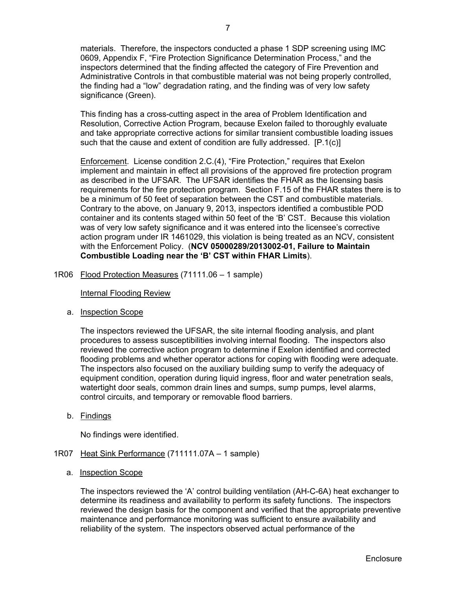materials. Therefore, the inspectors conducted a phase 1 SDP screening using IMC 0609, Appendix F, "Fire Protection Significance Determination Process," and the inspectors determined that the finding affected the category of Fire Prevention and Administrative Controls in that combustible material was not being properly controlled, the finding had a "low" degradation rating, and the finding was of very low safety significance (Green).

This finding has a cross-cutting aspect in the area of Problem Identification and Resolution, Corrective Action Program, because Exelon failed to thoroughly evaluate and take appropriate corrective actions for similar transient combustible loading issues such that the cause and extent of condition are fully addressed. [P.1(c)]

Enforcement. License condition 2.C.(4), "Fire Protection," requires that Exelon implement and maintain in effect all provisions of the approved fire protection program as described in the UFSAR. The UFSAR identifies the FHAR as the licensing basis requirements for the fire protection program. Section F.15 of the FHAR states there is to be a minimum of 50 feet of separation between the CST and combustible materials. Contrary to the above, on January 9, 2013, inspectors identified a combustible POD container and its contents staged within 50 feet of the 'B' CST. Because this violation was of very low safety significance and it was entered into the licensee's corrective action program under IR 1461029, this violation is being treated as an NCV, consistent with the Enforcement Policy. (**NCV 05000289/2013002-01, Failure to Maintain Combustible Loading near the 'B' CST within FHAR Limits**).

1R06 Flood Protection Measures (71111.06 – 1 sample)

Internal Flooding Review

a. Inspection Scope

The inspectors reviewed the UFSAR, the site internal flooding analysis, and plant procedures to assess susceptibilities involving internal flooding. The inspectors also reviewed the corrective action program to determine if Exelon identified and corrected flooding problems and whether operator actions for coping with flooding were adequate. The inspectors also focused on the auxiliary building sump to verify the adequacy of equipment condition, operation during liquid ingress, floor and water penetration seals, watertight door seals, common drain lines and sumps, sump pumps, level alarms, control circuits, and temporary or removable flood barriers.

b. Findings

No findings were identified.

- 1R07 Heat Sink Performance (711111.07A 1 sample)
	- a. Inspection Scope

The inspectors reviewed the 'A' control building ventilation (AH-C-6A) heat exchanger to determine its readiness and availability to perform its safety functions. The inspectors reviewed the design basis for the component and verified that the appropriate preventive maintenance and performance monitoring was sufficient to ensure availability and reliability of the system. The inspectors observed actual performance of the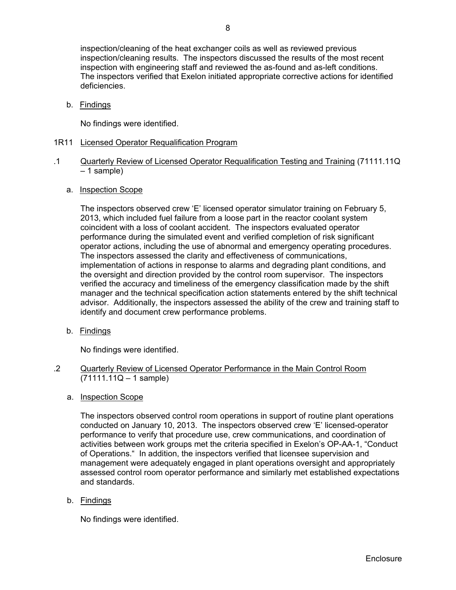inspection/cleaning of the heat exchanger coils as well as reviewed previous inspection/cleaning results. The inspectors discussed the results of the most recent inspection with engineering staff and reviewed the as-found and as-left conditions. The inspectors verified that Exelon initiated appropriate corrective actions for identified deficiencies.

b. Findings

No findings were identified.

- 1R11 Licensed Operator Requalification Program
- .1 Quarterly Review of Licensed Operator Requalification Testing and Training (71111.11Q – 1 sample)
	- a. Inspection Scope

The inspectors observed crew 'E' licensed operator simulator training on February 5, 2013, which included fuel failure from a loose part in the reactor coolant system coincident with a loss of coolant accident. The inspectors evaluated operator performance during the simulated event and verified completion of risk significant operator actions, including the use of abnormal and emergency operating procedures. The inspectors assessed the clarity and effectiveness of communications, implementation of actions in response to alarms and degrading plant conditions, and the oversight and direction provided by the control room supervisor. The inspectors verified the accuracy and timeliness of the emergency classification made by the shift manager and the technical specification action statements entered by the shift technical advisor. Additionally, the inspectors assessed the ability of the crew and training staff to identify and document crew performance problems.

b. Findings

No findings were identified.

- .2 Quarterly Review of Licensed Operator Performance in the Main Control Room (71111.11Q – 1 sample)
	- a. Inspection Scope

The inspectors observed control room operations in support of routine plant operations conducted on January 10, 2013. The inspectors observed crew 'E' licensed-operator performance to verify that procedure use, crew communications, and coordination of activities between work groups met the criteria specified in Exelon's OP-AA-1, "Conduct of Operations." In addition, the inspectors verified that licensee supervision and management were adequately engaged in plant operations oversight and appropriately assessed control room operator performance and similarly met established expectations and standards.

b. Findings

No findings were identified.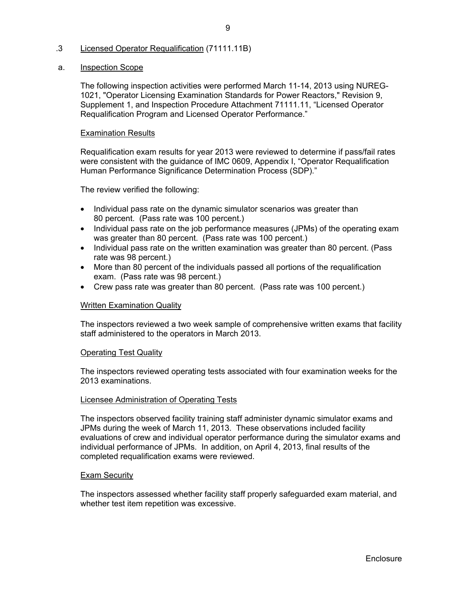#### .3 Licensed Operator Requalification (71111.11B)

#### a. Inspection Scope

The following inspection activities were performed March 11-14, 2013 using NUREG-1021, "Operator Licensing Examination Standards for Power Reactors," Revision 9, Supplement 1, and Inspection Procedure Attachment 71111.11, "Licensed Operator Requalification Program and Licensed Operator Performance."

#### Examination Results

Requalification exam results for year 2013 were reviewed to determine if pass/fail rates were consistent with the guidance of IMC 0609, Appendix I, "Operator Requalification Human Performance Significance Determination Process (SDP)."

The review verified the following:

- Individual pass rate on the dynamic simulator scenarios was greater than 80 percent. (Pass rate was 100 percent.)
- Individual pass rate on the job performance measures (JPMs) of the operating exam was greater than 80 percent. (Pass rate was 100 percent.)
- Individual pass rate on the written examination was greater than 80 percent. (Pass rate was 98 percent.)
- More than 80 percent of the individuals passed all portions of the requalification exam. (Pass rate was 98 percent.)
- Crew pass rate was greater than 80 percent. (Pass rate was 100 percent.)

#### Written Examination Quality

The inspectors reviewed a two week sample of comprehensive written exams that facility staff administered to the operators in March 2013.

#### Operating Test Quality

The inspectors reviewed operating tests associated with four examination weeks for the 2013 examinations.

#### Licensee Administration of Operating Tests

The inspectors observed facility training staff administer dynamic simulator exams and JPMs during the week of March 11, 2013. These observations included facility evaluations of crew and individual operator performance during the simulator exams and individual performance of JPMs. In addition, on April 4, 2013, final results of the completed requalification exams were reviewed.

#### Exam Security

The inspectors assessed whether facility staff properly safeguarded exam material, and whether test item repetition was excessive.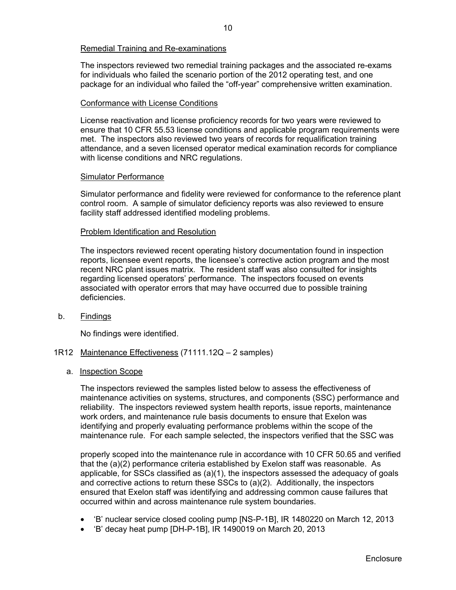## Remedial Training and Re-examinations

The inspectors reviewed two remedial training packages and the associated re-exams for individuals who failed the scenario portion of the 2012 operating test, and one package for an individual who failed the "off-year" comprehensive written examination.

#### Conformance with License Conditions

License reactivation and license proficiency records for two years were reviewed to ensure that 10 CFR 55.53 license conditions and applicable program requirements were met. The inspectors also reviewed two years of records for requalification training attendance, and a seven licensed operator medical examination records for compliance with license conditions and NRC regulations.

#### Simulator Performance

Simulator performance and fidelity were reviewed for conformance to the reference plant control room. A sample of simulator deficiency reports was also reviewed to ensure facility staff addressed identified modeling problems.

### Problem Identification and Resolution

The inspectors reviewed recent operating history documentation found in inspection reports, licensee event reports, the licensee's corrective action program and the most recent NRC plant issues matrix. The resident staff was also consulted for insights regarding licensed operators' performance. The inspectors focused on events associated with operator errors that may have occurred due to possible training deficiencies.

b. Findings

No findings were identified.

- 1R12 Maintenance Effectiveness (71111.12Q 2 samples)
	- a. Inspection Scope

The inspectors reviewed the samples listed below to assess the effectiveness of maintenance activities on systems, structures, and components (SSC) performance and reliability. The inspectors reviewed system health reports, issue reports, maintenance work orders, and maintenance rule basis documents to ensure that Exelon was identifying and properly evaluating performance problems within the scope of the maintenance rule. For each sample selected, the inspectors verified that the SSC was

properly scoped into the maintenance rule in accordance with 10 CFR 50.65 and verified that the (a)(2) performance criteria established by Exelon staff was reasonable. As applicable, for SSCs classified as (a)(1), the inspectors assessed the adequacy of goals and corrective actions to return these SSCs to (a)(2). Additionally, the inspectors ensured that Exelon staff was identifying and addressing common cause failures that occurred within and across maintenance rule system boundaries.

- 'B' nuclear service closed cooling pump [NS-P-1B], IR 1480220 on March 12, 2013
- 'B' decay heat pump [DH-P-1B], IR 1490019 on March 20, 2013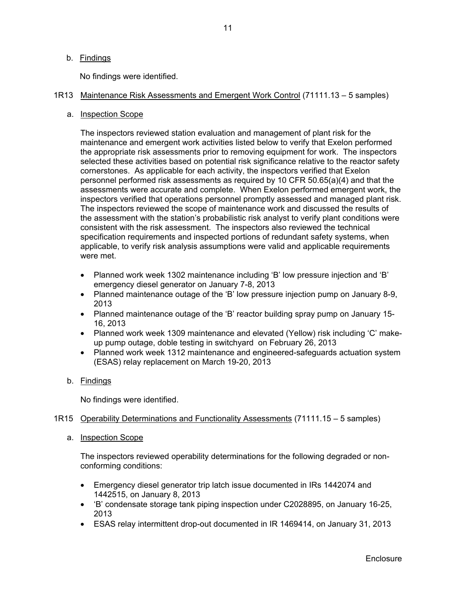## b. Findings

No findings were identified.

# 1R13 Maintenance Risk Assessments and Emergent Work Control (71111.13 – 5 samples)

# a. Inspection Scope

The inspectors reviewed station evaluation and management of plant risk for the maintenance and emergent work activities listed below to verify that Exelon performed the appropriate risk assessments prior to removing equipment for work. The inspectors selected these activities based on potential risk significance relative to the reactor safety cornerstones. As applicable for each activity, the inspectors verified that Exelon personnel performed risk assessments as required by 10 CFR 50.65(a)(4) and that the assessments were accurate and complete. When Exelon performed emergent work, the inspectors verified that operations personnel promptly assessed and managed plant risk. The inspectors reviewed the scope of maintenance work and discussed the results of the assessment with the station's probabilistic risk analyst to verify plant conditions were consistent with the risk assessment. The inspectors also reviewed the technical specification requirements and inspected portions of redundant safety systems, when applicable, to verify risk analysis assumptions were valid and applicable requirements were met.

- Planned work week 1302 maintenance including 'B' low pressure injection and 'B' emergency diesel generator on January 7-8, 2013
- Planned maintenance outage of the 'B' low pressure injection pump on January 8-9, 2013
- Planned maintenance outage of the 'B' reactor building spray pump on January 15- 16, 2013
- Planned work week 1309 maintenance and elevated (Yellow) risk including 'C' makeup pump outage, doble testing in switchyard on February 26, 2013
- Planned work week 1312 maintenance and engineered-safeguards actuation system (ESAS) relay replacement on March 19-20, 2013

# b. Findings

No findings were identified.

### 1R15 Operability Determinations and Functionality Assessments (71111.15 – 5 samples)

### a. Inspection Scope

The inspectors reviewed operability determinations for the following degraded or nonconforming conditions:

- Emergency diesel generator trip latch issue documented in IRs 1442074 and 1442515, on January 8, 2013
- 'B' condensate storage tank piping inspection under C2028895, on January 16-25, 2013
- ESAS relay intermittent drop-out documented in IR 1469414, on January 31, 2013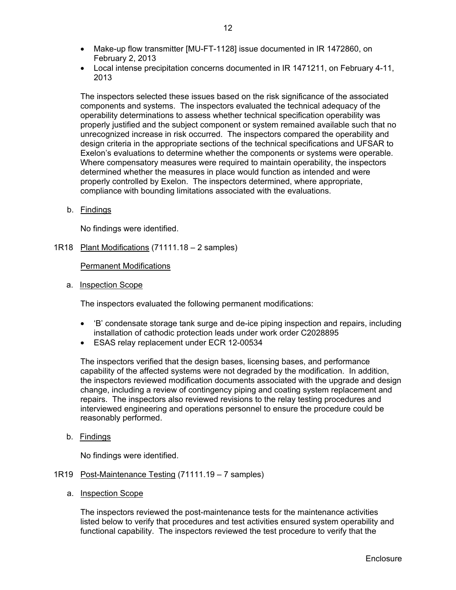Local intense precipitation concerns documented in IR 1471211, on February 4-11, 2013

The inspectors selected these issues based on the risk significance of the associated components and systems. The inspectors evaluated the technical adequacy of the operability determinations to assess whether technical specification operability was properly justified and the subject component or system remained available such that no unrecognized increase in risk occurred. The inspectors compared the operability and design criteria in the appropriate sections of the technical specifications and UFSAR to Exelon's evaluations to determine whether the components or systems were operable. Where compensatory measures were required to maintain operability, the inspectors determined whether the measures in place would function as intended and were properly controlled by Exelon. The inspectors determined, where appropriate, compliance with bounding limitations associated with the evaluations.

b. Findings

No findings were identified.

1R18 Plant Modifications (71111.18 – 2 samples)

# Permanent Modifications

a. Inspection Scope

The inspectors evaluated the following permanent modifications:

- 'B' condensate storage tank surge and de-ice piping inspection and repairs, including installation of cathodic protection leads under work order C2028895
- ESAS relay replacement under ECR 12-00534

The inspectors verified that the design bases, licensing bases, and performance capability of the affected systems were not degraded by the modification. In addition, the inspectors reviewed modification documents associated with the upgrade and design change, including a review of contingency piping and coating system replacement and repairs. The inspectors also reviewed revisions to the relay testing procedures and interviewed engineering and operations personnel to ensure the procedure could be reasonably performed.

b. Findings

No findings were identified.

- 1R19 Post-Maintenance Testing (71111.19 7 samples)
	- a. Inspection Scope

The inspectors reviewed the post-maintenance tests for the maintenance activities listed below to verify that procedures and test activities ensured system operability and functional capability. The inspectors reviewed the test procedure to verify that the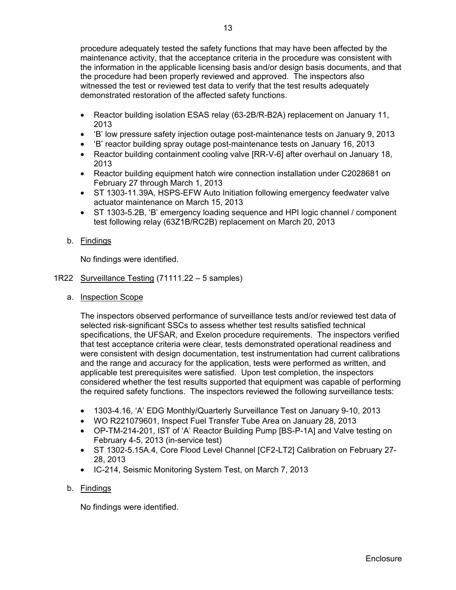procedure adequately tested the safety functions that may have been affected by the maintenance activity, that the acceptance criteria in the procedure was consistent with the information in the applicable licensing basis and/or design basis documents, and that the procedure had been properly reviewed and approved. The inspectors also witnessed the test or reviewed test data to verify that the test results adequately demonstrated restoration of the affected safety functions.

- Reactor building isolation ESAS relay (63-2B/R-B2A) replacement on January 11, 2013
- 'B' low pressure safety injection outage post-maintenance tests on January 9, 2013
- 'B' reactor building spray outage post-maintenance tests on January 16, 2013
- Reactor building containment cooling valve [RR-V-6] after overhaul on January 18, 2013
- Reactor building equipment hatch wire connection installation under C2028681 on February 27 through March 1, 2013
- ST 1303-11.39A, HSPS-EFW Auto Initiation following emergency feedwater valve actuator maintenance on March 15, 2013
- ST 1303-5.2B, 'B' emergency loading sequence and HPI logic channel / component test following relay (63Z1B/RC2B) replacement on March 20, 2013

# b. Findings

No findings were identified.

- 1R22 Surveillance Testing (71111.22 5 samples)
	- a. Inspection Scope

The inspectors observed performance of surveillance tests and/or reviewed test data of selected risk-significant SSCs to assess whether test results satisfied technical specifications, the UFSAR, and Exelon procedure requirements. The inspectors verified that test acceptance criteria were clear, tests demonstrated operational readiness and were consistent with design documentation, test instrumentation had current calibrations and the range and accuracy for the application, tests were performed as written, and applicable test prerequisites were satisfied. Upon test completion, the inspectors considered whether the test results supported that equipment was capable of performing the required safety functions. The inspectors reviewed the following surveillance tests:

- 1303-4.16, 'A' EDG Monthly/Quarterly Surveillance Test on January 9-10, 2013
- WO R221079601, Inspect Fuel Transfer Tube Area on January 28, 2013
- OP-TM-214-201, IST of 'A' Reactor Building Pump [BS-P-1A] and Valve testing on February 4-5, 2013 (in-service test)
- ST 1302-5.15A.4, Core Flood Level Channel [CF2-LT2] Calibration on February 27- 28, 2013
- IC-214, Seismic Monitoring System Test, on March 7, 2013

# b. Findings

No findings were identified.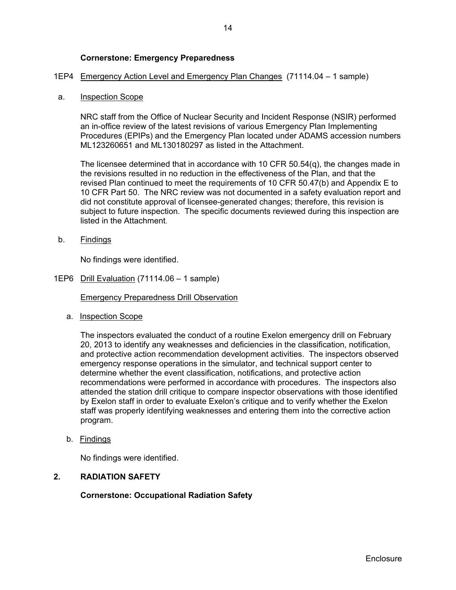## 1EP4 Emergency Action Level and Emergency Plan Changes (71114.04 – 1 sample)

#### a. Inspection Scope

NRC staff from the Office of Nuclear Security and Incident Response (NSIR) performed an in-office review of the latest revisions of various Emergency Plan Implementing Procedures (EPIPs) and the Emergency Plan located under ADAMS accession numbers ML123260651 and ML130180297 as listed in the Attachment.

The licensee determined that in accordance with 10 CFR 50.54(q), the changes made in the revisions resulted in no reduction in the effectiveness of the Plan, and that the revised Plan continued to meet the requirements of 10 CFR 50.47(b) and Appendix E to 10 CFR Part 50. The NRC review was not documented in a safety evaluation report and did not constitute approval of licensee-generated changes; therefore, this revision is subject to future inspection. The specific documents reviewed during this inspection are listed in the Attachment.

b. Findings

No findings were identified.

1EP6 Drill Evaluation (71114.06 – 1 sample)

Emergency Preparedness Drill Observation

a. Inspection Scope

The inspectors evaluated the conduct of a routine Exelon emergency drill on February 20, 2013 to identify any weaknesses and deficiencies in the classification, notification, and protective action recommendation development activities. The inspectors observed emergency response operations in the simulator, and technical support center to determine whether the event classification, notifications, and protective action recommendations were performed in accordance with procedures. The inspectors also attended the station drill critique to compare inspector observations with those identified by Exelon staff in order to evaluate Exelon's critique and to verify whether the Exelon staff was properly identifying weaknesses and entering them into the corrective action program.

b. Findings

No findings were identified.

# **2. RADIATION SAFETY**

**Cornerstone: Occupational Radiation Safety**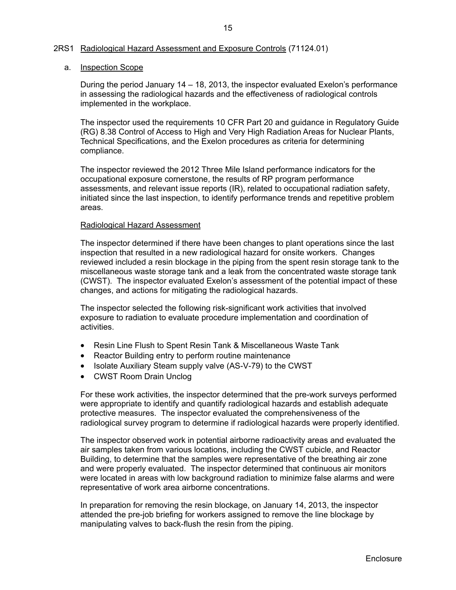#### 2RS1 Radiological Hazard Assessment and Exposure Controls (71124.01)

#### a. Inspection Scope

During the period January 14 – 18, 2013, the inspector evaluated Exelon's performance in assessing the radiological hazards and the effectiveness of radiological controls implemented in the workplace.

The inspector used the requirements 10 CFR Part 20 and guidance in Regulatory Guide (RG) 8.38 Control of Access to High and Very High Radiation Areas for Nuclear Plants, Technical Specifications, and the Exelon procedures as criteria for determining compliance.

The inspector reviewed the 2012 Three Mile Island performance indicators for the occupational exposure cornerstone, the results of RP program performance assessments, and relevant issue reports (IR), related to occupational radiation safety, initiated since the last inspection, to identify performance trends and repetitive problem areas.

#### Radiological Hazard Assessment

The inspector determined if there have been changes to plant operations since the last inspection that resulted in a new radiological hazard for onsite workers. Changes reviewed included a resin blockage in the piping from the spent resin storage tank to the miscellaneous waste storage tank and a leak from the concentrated waste storage tank (CWST). The inspector evaluated Exelon's assessment of the potential impact of these changes, and actions for mitigating the radiological hazards.

The inspector selected the following risk-significant work activities that involved exposure to radiation to evaluate procedure implementation and coordination of activities.

- Resin Line Flush to Spent Resin Tank & Miscellaneous Waste Tank
- Reactor Building entry to perform routine maintenance
- Isolate Auxiliary Steam supply valve (AS-V-79) to the CWST
- CWST Room Drain Unclog

For these work activities, the inspector determined that the pre-work surveys performed were appropriate to identify and quantify radiological hazards and establish adequate protective measures. The inspector evaluated the comprehensiveness of the radiological survey program to determine if radiological hazards were properly identified.

The inspector observed work in potential airborne radioactivity areas and evaluated the air samples taken from various locations, including the CWST cubicle, and Reactor Building, to determine that the samples were representative of the breathing air zone and were properly evaluated. The inspector determined that continuous air monitors were located in areas with low background radiation to minimize false alarms and were representative of work area airborne concentrations.

In preparation for removing the resin blockage, on January 14, 2013, the inspector attended the pre-job briefing for workers assigned to remove the line blockage by manipulating valves to back-flush the resin from the piping.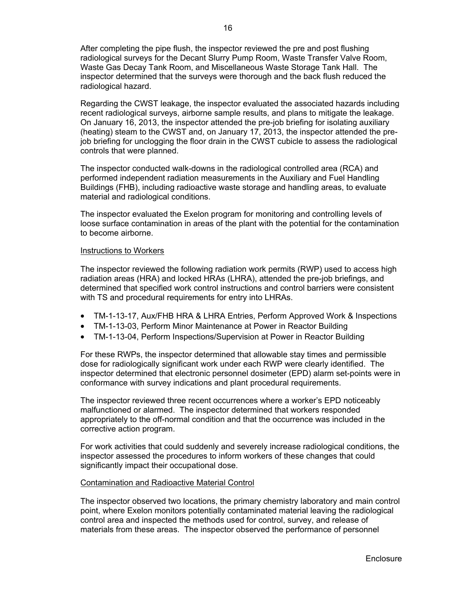After completing the pipe flush, the inspector reviewed the pre and post flushing radiological surveys for the Decant Slurry Pump Room, Waste Transfer Valve Room, Waste Gas Decay Tank Room, and Miscellaneous Waste Storage Tank Hall. The inspector determined that the surveys were thorough and the back flush reduced the radiological hazard.

Regarding the CWST leakage, the inspector evaluated the associated hazards including recent radiological surveys, airborne sample results, and plans to mitigate the leakage. On January 16, 2013, the inspector attended the pre-job briefing for isolating auxiliary (heating) steam to the CWST and, on January 17, 2013, the inspector attended the prejob briefing for unclogging the floor drain in the CWST cubicle to assess the radiological controls that were planned.

The inspector conducted walk-downs in the radiological controlled area (RCA) and performed independent radiation measurements in the Auxiliary and Fuel Handling Buildings (FHB), including radioactive waste storage and handling areas, to evaluate material and radiological conditions.

The inspector evaluated the Exelon program for monitoring and controlling levels of loose surface contamination in areas of the plant with the potential for the contamination to become airborne.

#### Instructions to Workers

The inspector reviewed the following radiation work permits (RWP) used to access high radiation areas (HRA) and locked HRAs (LHRA), attended the pre-job briefings, and determined that specified work control instructions and control barriers were consistent with TS and procedural requirements for entry into LHRAs.

- TM-1-13-17, Aux/FHB HRA & LHRA Entries, Perform Approved Work & Inspections
- TM-1-13-03, Perform Minor Maintenance at Power in Reactor Building
- TM-1-13-04, Perform Inspections/Supervision at Power in Reactor Building

For these RWPs, the inspector determined that allowable stay times and permissible dose for radiologically significant work under each RWP were clearly identified. The inspector determined that electronic personnel dosimeter (EPD) alarm set-points were in conformance with survey indications and plant procedural requirements.

The inspector reviewed three recent occurrences where a worker's EPD noticeably malfunctioned or alarmed. The inspector determined that workers responded appropriately to the off-normal condition and that the occurrence was included in the corrective action program.

For work activities that could suddenly and severely increase radiological conditions, the inspector assessed the procedures to inform workers of these changes that could significantly impact their occupational dose.

#### Contamination and Radioactive Material Control

The inspector observed two locations, the primary chemistry laboratory and main control point, where Exelon monitors potentially contaminated material leaving the radiological control area and inspected the methods used for control, survey, and release of materials from these areas. The inspector observed the performance of personnel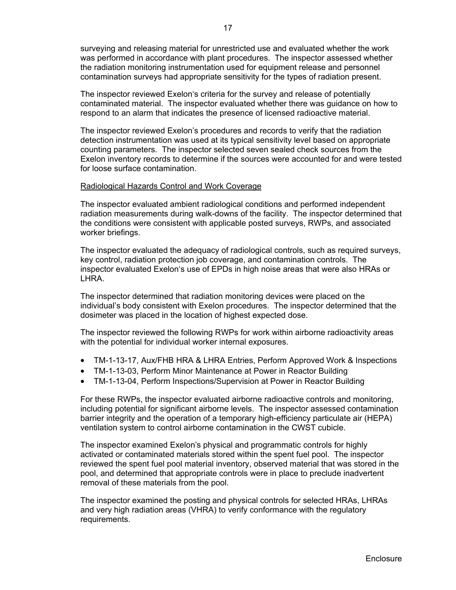surveying and releasing material for unrestricted use and evaluated whether the work was performed in accordance with plant procedures. The inspector assessed whether the radiation monitoring instrumentation used for equipment release and personnel contamination surveys had appropriate sensitivity for the types of radiation present.

The inspector reviewed Exelon's criteria for the survey and release of potentially contaminated material. The inspector evaluated whether there was guidance on how to respond to an alarm that indicates the presence of licensed radioactive material.

The inspector reviewed Exelon's procedures and records to verify that the radiation detection instrumentation was used at its typical sensitivity level based on appropriate counting parameters. The inspector selected seven sealed check sources from the Exelon inventory records to determine if the sources were accounted for and were tested for loose surface contamination.

#### Radiological Hazards Control and Work Coverage

The inspector evaluated ambient radiological conditions and performed independent radiation measurements during walk-downs of the facility. The inspector determined that the conditions were consistent with applicable posted surveys, RWPs, and associated worker briefings.

The inspector evaluated the adequacy of radiological controls, such as required surveys, key control, radiation protection job coverage, and contamination controls. The inspector evaluated Exelon's use of EPDs in high noise areas that were also HRAs or LHRA.

The inspector determined that radiation monitoring devices were placed on the individual's body consistent with Exelon procedures. The inspector determined that the dosimeter was placed in the location of highest expected dose.

The inspector reviewed the following RWPs for work within airborne radioactivity areas with the potential for individual worker internal exposures.

- TM-1-13-17, Aux/FHB HRA & LHRA Entries, Perform Approved Work & Inspections
- TM-1-13-03, Perform Minor Maintenance at Power in Reactor Building
- TM-1-13-04, Perform Inspections/Supervision at Power in Reactor Building

For these RWPs, the inspector evaluated airborne radioactive controls and monitoring, including potential for significant airborne levels. The inspector assessed contamination barrier integrity and the operation of a temporary high-efficiency particulate air (HEPA) ventilation system to control airborne contamination in the CWST cubicle.

The inspector examined Exelon's physical and programmatic controls for highly activated or contaminated materials stored within the spent fuel pool. The inspector reviewed the spent fuel pool material inventory, observed material that was stored in the pool, and determined that appropriate controls were in place to preclude inadvertent removal of these materials from the pool.

The inspector examined the posting and physical controls for selected HRAs, LHRAs and very high radiation areas (VHRA) to verify conformance with the regulatory requirements.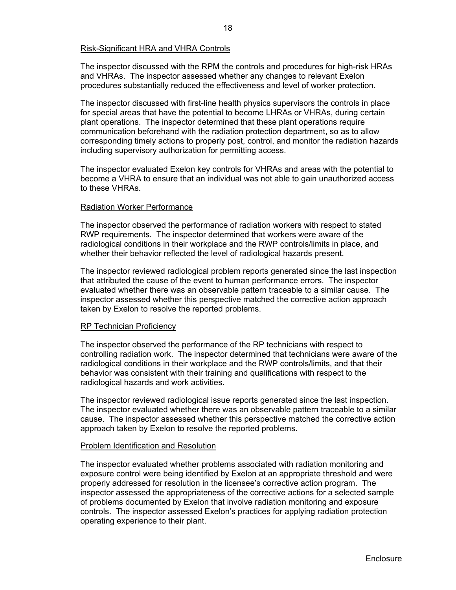#### Risk-Significant HRA and VHRA Controls

The inspector discussed with the RPM the controls and procedures for high-risk HRAs and VHRAs. The inspector assessed whether any changes to relevant Exelon procedures substantially reduced the effectiveness and level of worker protection.

The inspector discussed with first-line health physics supervisors the controls in place for special areas that have the potential to become LHRAs or VHRAs, during certain plant operations. The inspector determined that these plant operations require communication beforehand with the radiation protection department, so as to allow corresponding timely actions to properly post, control, and monitor the radiation hazards including supervisory authorization for permitting access.

The inspector evaluated Exelon key controls for VHRAs and areas with the potential to become a VHRA to ensure that an individual was not able to gain unauthorized access to these VHRAs.

#### Radiation Worker Performance

The inspector observed the performance of radiation workers with respect to stated RWP requirements. The inspector determined that workers were aware of the radiological conditions in their workplace and the RWP controls/limits in place, and whether their behavior reflected the level of radiological hazards present.

The inspector reviewed radiological problem reports generated since the last inspection that attributed the cause of the event to human performance errors. The inspector evaluated whether there was an observable pattern traceable to a similar cause. The inspector assessed whether this perspective matched the corrective action approach taken by Exelon to resolve the reported problems.

#### RP Technician Proficiency

The inspector observed the performance of the RP technicians with respect to controlling radiation work. The inspector determined that technicians were aware of the radiological conditions in their workplace and the RWP controls/limits, and that their behavior was consistent with their training and qualifications with respect to the radiological hazards and work activities.

The inspector reviewed radiological issue reports generated since the last inspection. The inspector evaluated whether there was an observable pattern traceable to a similar cause. The inspector assessed whether this perspective matched the corrective action approach taken by Exelon to resolve the reported problems.

#### Problem Identification and Resolution

The inspector evaluated whether problems associated with radiation monitoring and exposure control were being identified by Exelon at an appropriate threshold and were properly addressed for resolution in the licensee's corrective action program. The inspector assessed the appropriateness of the corrective actions for a selected sample of problems documented by Exelon that involve radiation monitoring and exposure controls. The inspector assessed Exelon's practices for applying radiation protection operating experience to their plant.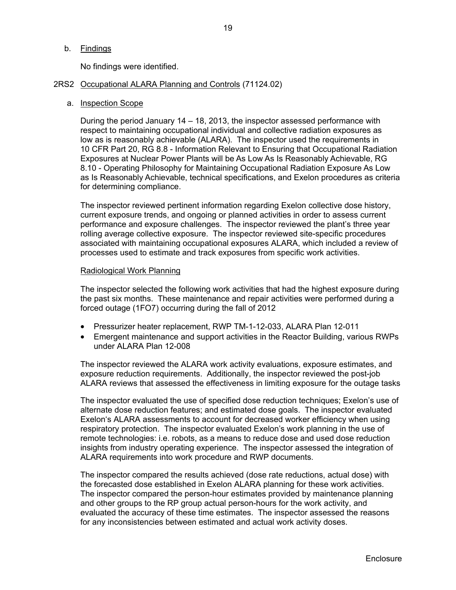#### b. Findings

No findings were identified.

#### 2RS2 Occupational ALARA Planning and Controls (71124.02)

a. Inspection Scope

During the period January 14 – 18, 2013, the inspector assessed performance with respect to maintaining occupational individual and collective radiation exposures as low as is reasonably achievable (ALARA). The inspector used the requirements in 10 CFR Part 20, RG 8.8 - Information Relevant to Ensuring that Occupational Radiation Exposures at Nuclear Power Plants will be As Low As Is Reasonably Achievable, RG 8.10 - Operating Philosophy for Maintaining Occupational Radiation Exposure As Low as Is Reasonably Achievable, technical specifications, and Exelon procedures as criteria for determining compliance.

The inspector reviewed pertinent information regarding Exelon collective dose history, current exposure trends, and ongoing or planned activities in order to assess current performance and exposure challenges. The inspector reviewed the plant's three year rolling average collective exposure. The inspector reviewed site-specific procedures associated with maintaining occupational exposures ALARA, which included a review of processes used to estimate and track exposures from specific work activities.

#### Radiological Work Planning

The inspector selected the following work activities that had the highest exposure during the past six months. These maintenance and repair activities were performed during a forced outage (1FO7) occurring during the fall of 2012

- Pressurizer heater replacement, RWP TM-1-12-033, ALARA Plan 12-011
- Emergent maintenance and support activities in the Reactor Building, various RWPs under ALARA Plan 12-008

The inspector reviewed the ALARA work activity evaluations, exposure estimates, and exposure reduction requirements. Additionally, the inspector reviewed the post-job ALARA reviews that assessed the effectiveness in limiting exposure for the outage tasks

The inspector evaluated the use of specified dose reduction techniques; Exelon's use of alternate dose reduction features; and estimated dose goals. The inspector evaluated Exelon's ALARA assessments to account for decreased worker efficiency when using respiratory protection. The inspector evaluated Exelon's work planning in the use of remote technologies: i.e. robots, as a means to reduce dose and used dose reduction insights from industry operating experience. The inspector assessed the integration of ALARA requirements into work procedure and RWP documents.

The inspector compared the results achieved (dose rate reductions, actual dose) with the forecasted dose established in Exelon ALARA planning for these work activities. The inspector compared the person-hour estimates provided by maintenance planning and other groups to the RP group actual person-hours for the work activity, and evaluated the accuracy of these time estimates. The inspector assessed the reasons for any inconsistencies between estimated and actual work activity doses.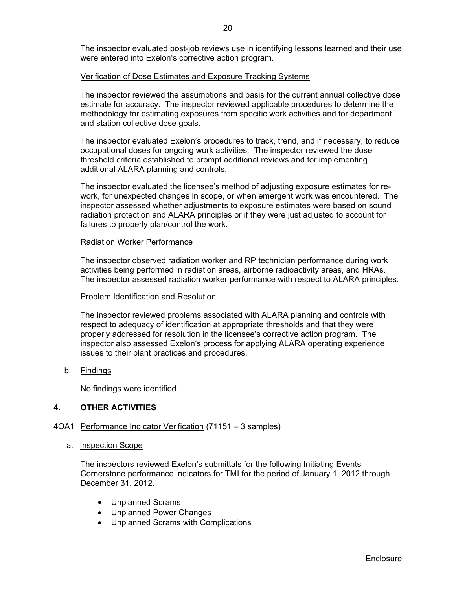# Verification of Dose Estimates and Exposure Tracking Systems

The inspector reviewed the assumptions and basis for the current annual collective dose estimate for accuracy. The inspector reviewed applicable procedures to determine the methodology for estimating exposures from specific work activities and for department and station collective dose goals.

The inspector evaluated Exelon's procedures to track, trend, and if necessary, to reduce occupational doses for ongoing work activities. The inspector reviewed the dose threshold criteria established to prompt additional reviews and for implementing additional ALARA planning and controls.

The inspector evaluated the licensee's method of adjusting exposure estimates for rework, for unexpected changes in scope, or when emergent work was encountered. The inspector assessed whether adjustments to exposure estimates were based on sound radiation protection and ALARA principles or if they were just adjusted to account for failures to properly plan/control the work.

### Radiation Worker Performance

The inspector observed radiation worker and RP technician performance during work activities being performed in radiation areas, airborne radioactivity areas, and HRAs. The inspector assessed radiation worker performance with respect to ALARA principles.

#### Problem Identification and Resolution

The inspector reviewed problems associated with ALARA planning and controls with respect to adequacy of identification at appropriate thresholds and that they were properly addressed for resolution in the licensee's corrective action program. The inspector also assessed Exelon's process for applying ALARA operating experience issues to their plant practices and procedures.

b. Findings

No findings were identified.

### **4. OTHER ACTIVITIES**

### 4OA1 Performance Indicator Verification (71151 – 3 samples)

a. Inspection Scope

The inspectors reviewed Exelon's submittals for the following Initiating Events Cornerstone performance indicators for TMI for the period of January 1, 2012 through December 31, 2012.

- Unplanned Scrams
- Unplanned Power Changes
- Unplanned Scrams with Complications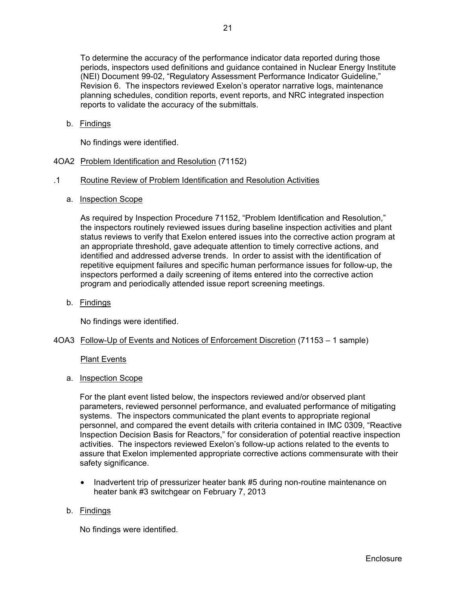To determine the accuracy of the performance indicator data reported during those periods, inspectors used definitions and guidance contained in Nuclear Energy Institute (NEI) Document 99-02, "Regulatory Assessment Performance Indicator Guideline," Revision 6. The inspectors reviewed Exelon's operator narrative logs, maintenance planning schedules, condition reports, event reports, and NRC integrated inspection reports to validate the accuracy of the submittals.

b. Findings

No findings were identified.

4OA2 Problem Identification and Resolution (71152)

### .1 Routine Review of Problem Identification and Resolution Activities

a. Inspection Scope

As required by Inspection Procedure 71152, "Problem Identification and Resolution," the inspectors routinely reviewed issues during baseline inspection activities and plant status reviews to verify that Exelon entered issues into the corrective action program at an appropriate threshold, gave adequate attention to timely corrective actions, and identified and addressed adverse trends. In order to assist with the identification of repetitive equipment failures and specific human performance issues for follow-up, the inspectors performed a daily screening of items entered into the corrective action program and periodically attended issue report screening meetings.

b. Findings

No findings were identified.

### 4OA3 Follow-Up of Events and Notices of Enforcement Discretion (71153 – 1 sample)

### Plant Events

### a. Inspection Scope

For the plant event listed below, the inspectors reviewed and/or observed plant parameters, reviewed personnel performance, and evaluated performance of mitigating systems. The inspectors communicated the plant events to appropriate regional personnel, and compared the event details with criteria contained in IMC 0309, "Reactive Inspection Decision Basis for Reactors," for consideration of potential reactive inspection activities. The inspectors reviewed Exelon's follow-up actions related to the events to assure that Exelon implemented appropriate corrective actions commensurate with their safety significance.

• Inadvertent trip of pressurizer heater bank #5 during non-routine maintenance on heater bank #3 switchgear on February 7, 2013

### b. Findings

No findings were identified.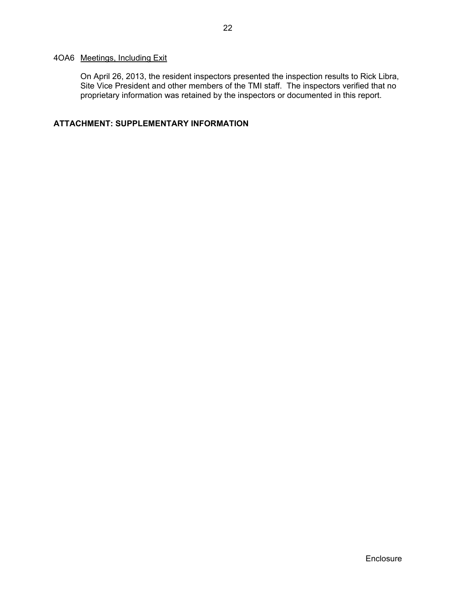## 4OA6 Meetings, Including Exit

On April 26, 2013, the resident inspectors presented the inspection results to Rick Libra, Site Vice President and other members of the TMI staff. The inspectors verified that no proprietary information was retained by the inspectors or documented in this report.

# **ATTACHMENT: SUPPLEMENTARY INFORMATION**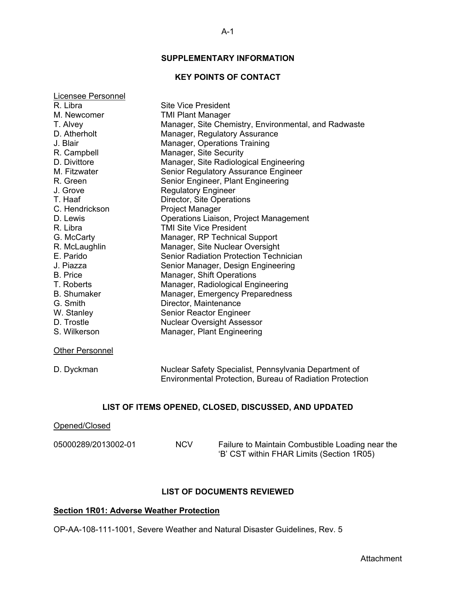# **SUPPLEMENTARY INFORMATION**

# **KEY POINTS OF CONTACT**

| Licensee Personnel<br>R. Libra<br>M. Newcomer<br>T. Alvey<br>D. Atherholt<br>J. Blair<br>R. Campbell<br>D. Divittore<br>M. Fitzwater<br>R. Green<br>J. Grove<br>T. Haaf<br>C. Hendrickson<br>D. Lewis<br>R. Libra<br>G. McCarty<br>R. McLaughlin<br>E. Parido<br>J. Piazza<br><b>B.</b> Price<br>T. Roberts<br><b>B.</b> Shumaker<br>G. Smith<br>W. Stanley<br>D. Trostle<br>S. Wilkerson<br>Other Personnel<br>D. Dyckman | <b>Site Vice President</b><br><b>TMI Plant Manager</b><br>Manager, Site Security<br><b>Regulatory Engineer</b><br>Director, Site Operations<br><b>Project Manager</b><br><b>TMI Site Vice President</b><br>Manager, Shift Operations<br>Director, Maintenance<br>Senior Reactor Engineer<br><b>Nuclear Oversight Assessor</b><br>Manager, Plant Engineering | Manager, Site Chemistry, Environmental, and Radwaste<br>Manager, Regulatory Assurance<br>Manager, Operations Training<br>Manager, Site Radiological Engineering<br>Senior Regulatory Assurance Engineer<br>Senior Engineer, Plant Engineering<br>Operations Liaison, Project Management<br>Manager, RP Technical Support<br>Manager, Site Nuclear Oversight<br>Senior Radiation Protection Technician<br>Senior Manager, Design Engineering<br>Manager, Radiological Engineering<br>Manager, Emergency Preparedness<br>Nuclear Safety Specialist, Pennsylvania Department of |
|----------------------------------------------------------------------------------------------------------------------------------------------------------------------------------------------------------------------------------------------------------------------------------------------------------------------------------------------------------------------------------------------------------------------------|-------------------------------------------------------------------------------------------------------------------------------------------------------------------------------------------------------------------------------------------------------------------------------------------------------------------------------------------------------------|------------------------------------------------------------------------------------------------------------------------------------------------------------------------------------------------------------------------------------------------------------------------------------------------------------------------------------------------------------------------------------------------------------------------------------------------------------------------------------------------------------------------------------------------------------------------------|
|                                                                                                                                                                                                                                                                                                                                                                                                                            |                                                                                                                                                                                                                                                                                                                                                             | Environmental Protection, Bureau of Radiation Protection                                                                                                                                                                                                                                                                                                                                                                                                                                                                                                                     |
|                                                                                                                                                                                                                                                                                                                                                                                                                            |                                                                                                                                                                                                                                                                                                                                                             | LIST OF ITEMS OPENED, CLOSED, DISCUSSED, AND UPDATED                                                                                                                                                                                                                                                                                                                                                                                                                                                                                                                         |
| Opened/Closed                                                                                                                                                                                                                                                                                                                                                                                                              |                                                                                                                                                                                                                                                                                                                                                             |                                                                                                                                                                                                                                                                                                                                                                                                                                                                                                                                                                              |
| 05000289/2013002-01                                                                                                                                                                                                                                                                                                                                                                                                        | <b>NCV</b>                                                                                                                                                                                                                                                                                                                                                  | Failure to Maintain Combustible Loading near the                                                                                                                                                                                                                                                                                                                                                                                                                                                                                                                             |
|                                                                                                                                                                                                                                                                                                                                                                                                                            |                                                                                                                                                                                                                                                                                                                                                             | 'B' CST within FHAR Limits (Section 1R05)                                                                                                                                                                                                                                                                                                                                                                                                                                                                                                                                    |

# **LIST OF DOCUMENTS REVIEWED**

# **Section 1R01: Adverse Weather Protection**

OP-AA-108-111-1001, Severe Weather and Natural Disaster Guidelines, Rev. 5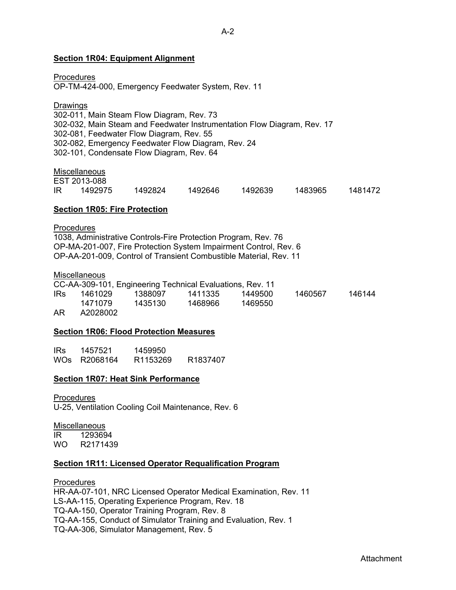A-2

## **Section 1R04: Equipment Alignment**

**Procedures** OP-TM-424-000, Emergency Feedwater System, Rev. 11

Drawings 302-011, Main Steam Flow Diagram, Rev. 73 302-032, Main Steam and Feedwater Instrumentation Flow Diagram, Rev. 17 302-081, Feedwater Flow Diagram, Rev. 55 302-082, Emergency Feedwater Flow Diagram, Rev. 24 302-101, Condensate Flow Diagram, Rev. 64

## Miscellaneous

EST 2013-088 IR 1492975 1492824 1492646 1492639 1483965 1481472

### **Section 1R05: Fire Protection**

#### Procedures

1038, Administrative Controls-Fire Protection Program, Rev. 76 OP-MA-201-007, Fire Protection System Impairment Control, Rev. 6 OP-AA-201-009, Control of Transient Combustible Material, Rev. 11

#### **Miscellaneous**

|      | CC-AA-309-101, Engineering Technical Evaluations, Rev. 11 |         |         |         |         |        |
|------|-----------------------------------------------------------|---------|---------|---------|---------|--------|
| IRs. | 1461029                                                   | 1388097 | 1411335 | 1449500 | 1460567 | 146144 |
|      | 1471079                                                   | 1435130 | 1468966 | 1469550 |         |        |
| ∧ D  | woodoon w                                                 |         |         |         |         |        |

AR A2028002

### **Section 1R06: Flood Protection Measures**

IRs 1457521 1459950 WOs R2068164 R1153269 R1837407

### **Section 1R07: Heat Sink Performance**

Procedures U-25, Ventilation Cooling Coil Maintenance, Rev. 6

**Miscellaneous** 

IR 1293694 WO R2171439

# **Section 1R11: Licensed Operator Requalification Program**

#### Procedures

HR-AA-07-101, NRC Licensed Operator Medical Examination, Rev. 11 LS-AA-115, Operating Experience Program, Rev. 18 TQ-AA-150, Operator Training Program, Rev. 8 TQ-AA-155, Conduct of Simulator Training and Evaluation, Rev. 1 TQ-AA-306, Simulator Management, Rev. 5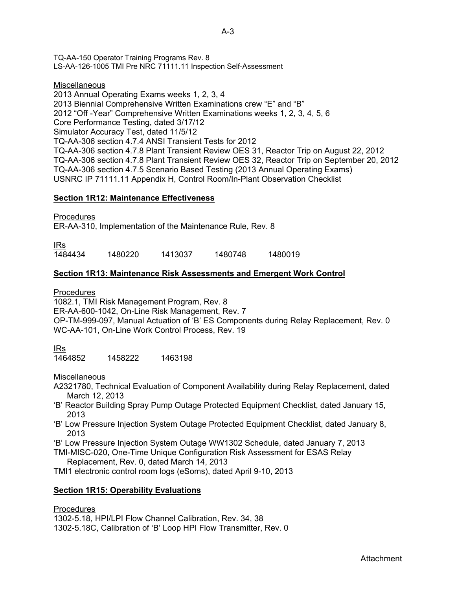TQ-AA-150 Operator Training Programs Rev. 8 LS-AA-126-1005 TMI Pre NRC 71111.11 Inspection Self-Assessment

**Miscellaneous** 

2013 Annual Operating Exams weeks 1, 2, 3, 4 2013 Biennial Comprehensive Written Examinations crew "E" and "B" 2012 "Off -Year" Comprehensive Written Examinations weeks 1, 2, 3, 4, 5, 6 Core Performance Testing, dated 3/17/12 Simulator Accuracy Test, dated 11/5/12 TQ-AA-306 section 4.7.4 ANSI Transient Tests for 2012 TQ-AA-306 section 4.7.8 Plant Transient Review OES 31, Reactor Trip on August 22, 2012 TQ-AA-306 section 4.7.8 Plant Transient Review OES 32, Reactor Trip on September 20, 2012 TQ-AA-306 section 4.7.5 Scenario Based Testing (2013 Annual Operating Exams) USNRC IP 71111.11 Appendix H, Control Room/In-Plant Observation Checklist

# **Section 1R12: Maintenance Effectiveness**

**Procedures** ER-AA-310, Implementation of the Maintenance Rule, Rev. 8

IRs 1484434 1480220 1413037 1480748 1480019

# **Section 1R13: Maintenance Risk Assessments and Emergent Work Control**

**Procedures** 

1082.1, TMI Risk Management Program, Rev. 8

ER-AA-600-1042, On-Line Risk Management, Rev. 7

OP-TM-999-097, Manual Actuation of 'B' ES Components during Relay Replacement, Rev. 0 WC-AA-101, On-Line Work Control Process, Rev. 19

<u>IRs</u><br>1464852

1458222 1463198

Miscellaneous

- A2321780, Technical Evaluation of Component Availability during Relay Replacement, dated March 12, 2013
- 'B' Reactor Building Spray Pump Outage Protected Equipment Checklist, dated January 15, 2013
- 'B' Low Pressure Injection System Outage Protected Equipment Checklist, dated January 8, 2013
- 'B' Low Pressure Injection System Outage WW1302 Schedule, dated January 7, 2013

TMI-MISC-020, One-Time Unique Configuration Risk Assessment for ESAS Relay

Replacement, Rev. 0, dated March 14, 2013

TMI1 electronic control room logs (eSoms), dated April 9-10, 2013

# **Section 1R15: Operability Evaluations**

Procedures

1302-5.18, HPI/LPI Flow Channel Calibration, Rev. 34, 38 1302-5.18C, Calibration of 'B' Loop HPI Flow Transmitter, Rev. 0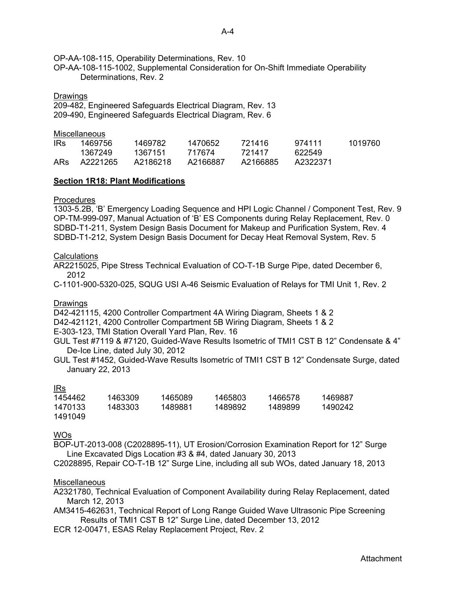OP-AA-108-115, Operability Determinations, Rev. 10 OP-AA-108-115-1002, Supplemental Consideration for On-Shift Immediate Operability Determinations, Rev. 2

**Drawings** 209-482, Engineered Safeguards Electrical Diagram, Rev. 13 209-490, Engineered Safeguards Electrical Diagram, Rev. 6

|            | <b>MISCEIIANEOUS</b> |          |          |          |          |         |
|------------|----------------------|----------|----------|----------|----------|---------|
| IRs.       | 1469756              | 1469782  | 1470652  | 721416   | 974111   | 1019760 |
|            | 1367249              | 1367151  | 717674   | 721417   | 622549   |         |
| <b>ARs</b> | A2221265             | A2186218 | A2166887 | A2166885 | A2322371 |         |

### **Section 1R18: Plant Modifications**

#### Procedures

Miscellaneous

1303-5.2B, 'B' Emergency Loading Sequence and HPI Logic Channel / Component Test, Rev. 9 OP-TM-999-097, Manual Actuation of 'B' ES Components during Relay Replacement, Rev. 0 SDBD-T1-211, System Design Basis Document for Makeup and Purification System, Rev. 4 SDBD-T1-212, System Design Basis Document for Decay Heat Removal System, Rev. 5

### **Calculations**

AR2215025, Pipe Stress Technical Evaluation of CO-T-1B Surge Pipe, dated December 6, 2012

C-1101-900-5320-025, SQUG USI A-46 Seismic Evaluation of Relays for TMI Unit 1, Rev. 2

### Drawings

D42-421115, 4200 Controller Compartment 4A Wiring Diagram, Sheets 1 & 2

D42-421121, 4200 Controller Compartment 5B Wiring Diagram, Sheets 1 & 2

E-303-123, TMI Station Overall Yard Plan, Rev. 16

GUL Test #7119 & #7120, Guided-Wave Results Isometric of TMI1 CST B 12" Condensate & 4" De-Ice Line, dated July 30, 2012

GUL Test #1452, Guided-Wave Results Isometric of TMI1 CST B 12" Condensate Surge, dated January 22, 2013

### IRs

| 1454462 | 1463309 | 1465089 | 1465803 | 1466578 | 1469887 |
|---------|---------|---------|---------|---------|---------|
| 1470133 | 1483303 | 1489881 | 1489892 | 1489899 | 1490242 |
| 1491049 |         |         |         |         |         |

### WOs

BOP-UT-2013-008 (C2028895-11), UT Erosion/Corrosion Examination Report for 12" Surge Line Excavated Digs Location #3 & #4, dated January 30, 2013

C2028895, Repair CO-T-1B 12" Surge Line, including all sub WOs, dated January 18, 2013

### Miscellaneous

A2321780, Technical Evaluation of Component Availability during Relay Replacement, dated March 12, 2013

AM3415-462631, Technical Report of Long Range Guided Wave Ultrasonic Pipe Screening Results of TMI1 CST B 12" Surge Line, dated December 13, 2012

ECR 12-00471, ESAS Relay Replacement Project, Rev. 2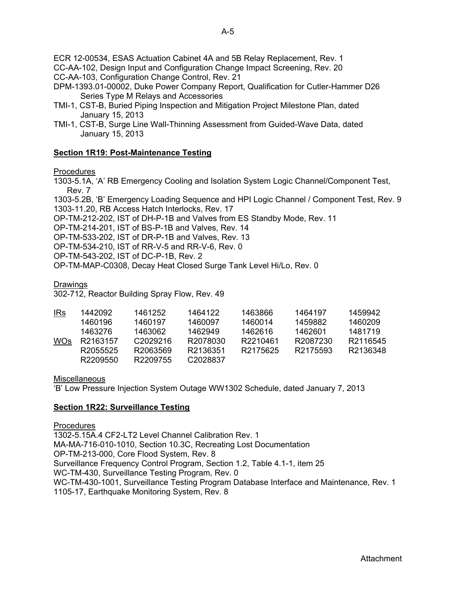ECR 12-00534, ESAS Actuation Cabinet 4A and 5B Relay Replacement, Rev. 1

CC-AA-102, Design Input and Configuration Change Impact Screening, Rev. 20 CC-AA-103, Configuration Change Control, Rev. 21

- DPM-1393.01-00002, Duke Power Company Report, Qualification for Cutler-Hammer D26 Series Type M Relays and Accessories
- TMI-1, CST-B, Buried Piping Inspection and Mitigation Project Milestone Plan, dated January 15, 2013
- TMI-1, CST-B, Surge Line Wall-Thinning Assessment from Guided-Wave Data, dated January 15, 2013

# **Section 1R19: Post-Maintenance Testing**

# **Procedures**

1303-5.1A, 'A' RB Emergency Cooling and Isolation System Logic Channel/Component Test, Rev. 7

1303-5.2B, 'B' Emergency Loading Sequence and HPI Logic Channel / Component Test, Rev. 9 1303-11.20, RB Access Hatch Interlocks, Rev. 17

OP-TM-212-202, IST of DH-P-1B and Valves from ES Standby Mode, Rev. 11

OP-TM-214-201, IST of BS-P-1B and Valves, Rev. 14

OP-TM-533-202, IST of DR-P-1B and Valves, Rev. 13

OP-TM-534-210, IST of RR-V-5 and RR-V-6, Rev. 0

OP-TM-543-202, IST of DC-P-1B, Rev. 2

OP-TM-MAP-C0308, Decay Heat Closed Surge Tank Level Hi/Lo, Rev. 0

# **Drawings**

302-712, Reactor Building Spray Flow, Rev. 49

| <u>IRs</u> | 1442092  | 1461252  | 1464122  | 1463866  | 1464197  | 1459942  |
|------------|----------|----------|----------|----------|----------|----------|
|            | 1460196  | 1460197  | 1460097  | 1460014  | 1459882  | 1460209  |
|            | 1463276  | 1463062  | 1462949  | 1462616  | 1462601  | 1481719  |
| <b>WOs</b> | R2163157 | C2029216 | R2078030 | R2210461 | R2087230 | R2116545 |
|            | R2055525 | R2063569 | R2136351 | R2175625 | R2175593 | R2136348 |
|            | R2209550 | R2209755 | C2028837 |          |          |          |

**Miscellaneous** 

'B' Low Pressure Injection System Outage WW1302 Schedule, dated January 7, 2013

# **Section 1R22: Surveillance Testing**

**Procedures** 1302-5.15A.4 CF2-LT2 Level Channel Calibration Rev. 1 MA-MA-716-010-1010, Section 10.3C, Recreating Lost Documentation OP-TM-213-000, Core Flood System, Rev. 8 Surveillance Frequency Control Program, Section 1.2, Table 4.1-1, item 25 WC-TM-430, Surveillance Testing Program, Rev. 0 WC-TM-430-1001, Surveillance Testing Program Database Interface and Maintenance, Rev. 1 1105-17, Earthquake Monitoring System, Rev. 8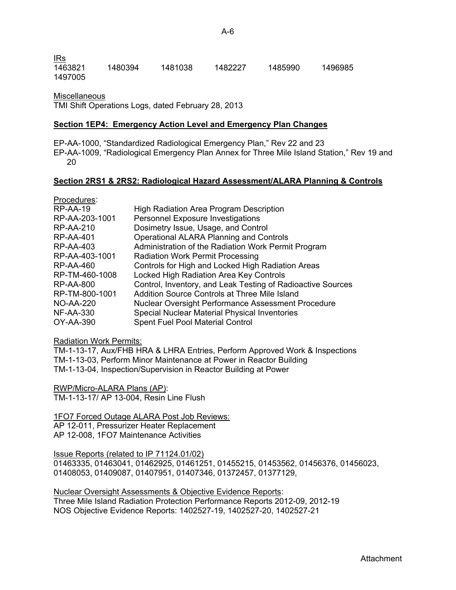| IRS     |         |         |         |         |         |
|---------|---------|---------|---------|---------|---------|
| 1463821 | 1480394 | 1481038 | 1482227 | 1485990 | 1496985 |
| 1497005 |         |         |         |         |         |

**Miscellaneous** 

IRs

TMI Shift Operations Logs, dated February 28, 2013

## **Section 1EP4: Emergency Action Level and Emergency Plan Changes**

EP-AA-1000, "Standardized Radiological Emergency Plan," Rev 22 and 23 EP-AA-1009, "Radiological Emergency Plan Annex for Three Mile Island Station," Rev 19 and 20

#### **Section 2RS1 & 2RS2: Radiological Hazard Assessment/ALARA Planning & Controls**

| Procedures:      |                                                             |
|------------------|-------------------------------------------------------------|
| RP-AA-19         | <b>High Radiation Area Program Description</b>              |
| RP-AA-203-1001   | <b>Personnel Exposure Investigations</b>                    |
| RP-AA-210        | Dosimetry Issue, Usage, and Control                         |
| <b>RP-AA-401</b> | Operational ALARA Planning and Controls                     |
| <b>RP-AA-403</b> | Administration of the Radiation Work Permit Program         |
| RP-AA-403-1001   | <b>Radiation Work Permit Processing</b>                     |
| RP-AA-460        | Controls for High and Locked High Radiation Areas           |
| RP-TM-460-1008   | Locked High Radiation Area Key Controls                     |
| <b>RP-AA-800</b> | Control, Inventory, and Leak Testing of Radioactive Sources |
| RP-TM-800-1001   | Addition Source Controls at Three Mile Island               |
| <b>NO-AA-220</b> | Nuclear Oversight Performance Assessment Procedure          |
| <b>NF-AA-330</b> | Special Nuclear Material Physical Inventories               |
| OY-AA-390        | <b>Spent Fuel Pool Material Control</b>                     |

Radiation Work Permits:

TM-1-13-17, Aux/FHB HRA & LHRA Entries, Perform Approved Work & Inspections TM-1-13-03, Perform Minor Maintenance at Power in Reactor Building TM-1-13-04, Inspection/Supervision in Reactor Building at Power

RWP/Micro-ALARA Plans (AP):

TM-1-13-17/ AP 13-004, Resin Line Flush

1FO7 Forced Outage ALARA Post Job Reviews:

AP 12-011, Pressurizer Heater Replacement AP 12-008, 1FO7 Maintenance Activities

Issue Reports (related to IP 71124.01/02)

01463335, 01463041, 01462925, 01461251, 01455215, 01453562, 01456376, 01456023, 01408053, 01409087, 01407951, 01407346, 01372457, 01377129,

Nuclear Oversight Assessments & Objective Evidence Reports: Three Mile Island Radiation Protection Performance Reports 2012-09, 2012-19 NOS Objective Evidence Reports: 1402527-19, 1402527-20, 1402527-21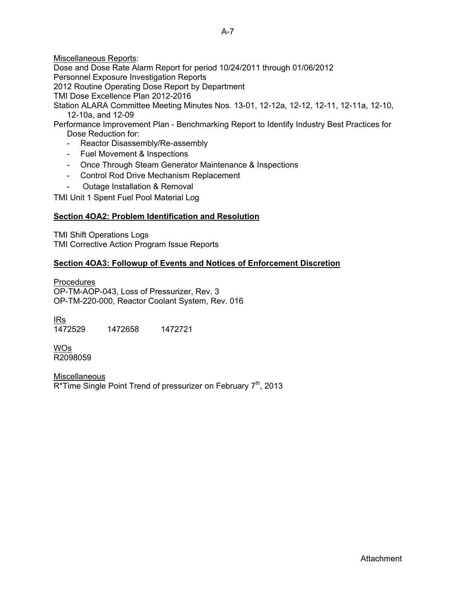Miscellaneous Reports:

Dose and Dose Rate Alarm Report for period 10/24/2011 through 01/06/2012

Personnel Exposure Investigation Reports

2012 Routine Operating Dose Report by Department

TMI Dose Excellence Plan 2012-2016

Station ALARA Committee Meeting Minutes Nos. 13-01, 12-12a, 12-12, 12-11, 12-11a, 12-10, 12-10a, and 12-09

Performance Improvement Plan - Benchmarking Report to Identify Industry Best Practices for Dose Reduction for:

- Reactor Disassembly/Re-assembly
- Fuel Movement & Inspections
- Once Through Steam Generator Maintenance & Inspections
- Control Rod Drive Mechanism Replacement
- Outage Installation & Removal

TMI Unit 1 Spent Fuel Pool Material Log

# **Section 4OA2: Problem Identification and Resolution**

TMI Shift Operations Logs TMI Corrective Action Program Issue Reports

# **Section 4OA3: Followup of Events and Notices of Enforcement Discretion**

**Procedures** OP-TM-AOP-043, Loss of Pressurizer, Rev. 3 OP-TM-220-000, Reactor Coolant System, Rev. 016

IRs  $\frac{12}{1472529}$  1472658 1472721

WOs R2098059

**Miscellaneous** R\*Time Single Point Trend of pressurizer on February 7<sup>th</sup>, 2013